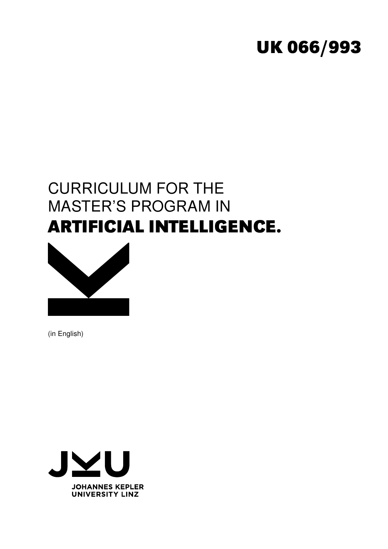# **UK 066/993**

# CURRICULUM FOR THE MASTER'S PROGRAM IN **ARTIFICIAL INTELLIGENCE.**



(in English)

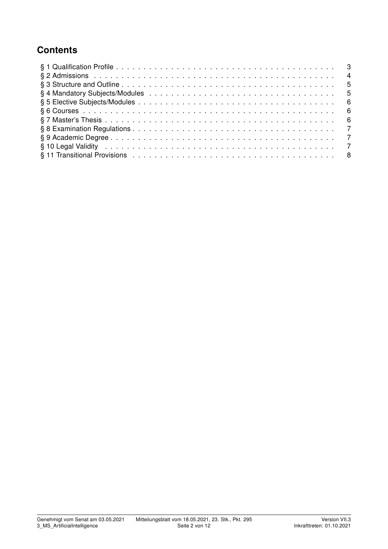## **Contents**

| § 10 Legal Validity enterpreteration of the contract of the contract of the contract of the contract of the contract of the contract of the contract of the contract of the contract of the contract of the contract of the co |  |
|--------------------------------------------------------------------------------------------------------------------------------------------------------------------------------------------------------------------------------|--|
|                                                                                                                                                                                                                                |  |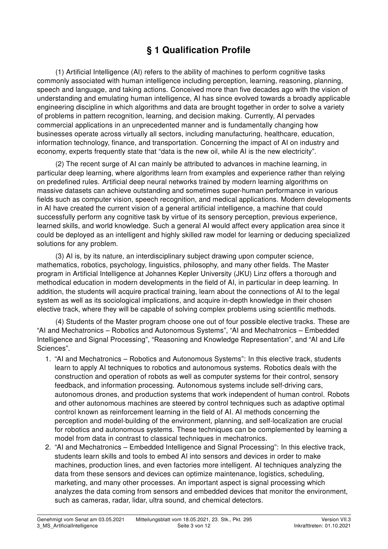# § 1 Qualification Profile

(1) Artificial Intelligence (AI) refers to the ability of machines to perform cognitive tasks commonly associated with human intelligence including perception, learning, reasoning, planning, speech and language, and taking actions. Conceived more than five decades ago with the vision of understanding and emulating human intelligence, AI has since evolved towards a broadly applicable engineering discipline in which algorithms and data are brought together in order to solve a variety of problems in pattern recognition, learning, and decision making. Currently, AI pervades commercial applications in an unprecedented manner and is fundamentally changing how businesses operate across virtually all sectors, including manufacturing, healthcare, education, information technology, finance, and transportation. Concerning the impact of AI on industry and economy, experts frequently state that "data is the new oil, while AI is the new electricity".

(2) The recent surge of AI can mainly be attributed to advances in machine learning, in particular deep learning, where algorithms learn from examples and experience rather than relying on predefined rules. Artificial deep neural networks trained by modern learning algorithms on massive datasets can achieve outstanding and sometimes super-human performance in various fields such as computer vision, speech recognition, and medical applications. Modern developments in AI have created the current vision of a general artificial intelligence, a machine that could successfully perform any cognitive task by virtue of its sensory perception, previous experience, learned skills, and world knowledge. Such a general AI would affect every application area since it could be deployed as an intelligent and highly skilled raw model for learning or deducing specialized solutions for any problem.

(3) AI is, by its nature, an interdisciplinary subject drawing upon computer science, mathematics, robotics, psychology, linguistics, philosophy, and many other fields. The Master program in Artificial Intelligence at Johannes Kepler University (JKU) Linz offers a thorough and methodical education in modern developments in the field of AI, in particular in deep learning. In addition, the students will acquire practical training, learn about the connections of AI to the legal system as well as its sociological implications, and acquire in-depth knowledge in their chosen elective track, where they will be capable of solving complex problems using scientific methods.

(4) Students of the Master program choose one out of four possible elective tracks. These are "AI and Mechatronics – Robotics and Autonomous Systems", "AI and Mechatronics – Embedded Intelligence and Signal Processing", "Reasoning and Knowledge Representation", and "AI and Life Sciences".

- 1. "AI and Mechatronics Robotics and Autonomous Systems": In this elective track, students learn to apply AI techniques to robotics and autonomous systems. Robotics deals with the construction and operation of robots as well as computer systems for their control, sensory feedback, and information processing. Autonomous systems include self-driving cars, autonomous drones, and production systems that work independent of human control. Robots and other autonomous machines are steered by control techniques such as adaptive optimal control known as reinforcement learning in the field of AI. AI methods concerning the perception and model-building of the environment, planning, and self-localization are crucial for robotics and autonomous systems. These techniques can be complemented by learning a model from data in contrast to classical techniques in mechatronics.
- 2. "AI and Mechatronics Embedded Intelligence and Signal Processing": In this elective track, students learn skills and tools to embed AI into sensors and devices in order to make machines, production lines, and even factories more intelligent. AI techniques analyzing the data from these sensors and devices can optimize maintenance, logistics, scheduling, marketing, and many other processes. An important aspect is signal processing which analyzes the data coming from sensors and embedded devices that monitor the environment, such as cameras, radar, lidar, ultra sound, and chemical detectors.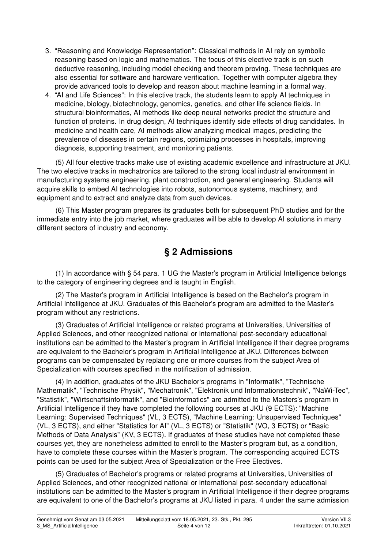- 3. "Reasoning and Knowledge Representation": Classical methods in AI rely on symbolic reasoning based on logic and mathematics. The focus of this elective track is on such deductive reasoning, including model checking and theorem proving. These techniques are also essential for software and hardware verification. Together with computer algebra they provide advanced tools to develop and reason about machine learning in a formal way.
- 4. "AI and Life Sciences": In this elective track, the students learn to apply AI techniques in medicine, biology, biotechnology, genomics, genetics, and other life science fields. In structural bioinformatics, AI methods like deep neural networks predict the structure and function of proteins. In drug design, AI techniques identify side effects of drug candidates. In medicine and health care, AI methods allow analyzing medical images, predicting the prevalence of diseases in certain regions, optimizing processes in hospitals, improving diagnosis, supporting treatment, and monitoring patients.

(5) All four elective tracks make use of existing academic excellence and infrastructure at JKU. The two elective tracks in mechatronics are tailored to the strong local industrial environment in manufacturing systems engineering, plant construction, and general engineering. Students will acquire skills to embed AI technologies into robots, autonomous systems, machinery, and equipment and to extract and analyze data from such devices.

(6) This Master program prepares its graduates both for subsequent PhD studies and for the immediate entry into the job market, where graduates will be able to develop AI solutions in many different sectors of industry and economy.

## § 2 Admissions

(1) In accordance with § 54 para. 1 UG the Master's program in Artificial Intelligence belongs to the category of engineering degrees and is taught in English.

(2) The Master's program in Artificial Intelligence is based on the Bachelor's program in Artificial Intelligence at JKU. Graduates of this Bachelor's program are admitted to the Master's program without any restrictions.

(3) Graduates of Artificial Intelligence or related programs at Universities, Universities of Applied Sciences, and other recognized national or international post-secondary educational institutions can be admitted to the Master's program in Artificial Intelligence if their degree programs are equivalent to the Bachelor's program in Artificial Intelligence at JKU. Differences between programs can be compensated by replacing one or more courses from the subject Area of Specialization with courses specified in the notification of admission.

(4) In addition, graduates of the JKU Bachelor's programs in "Informatik", "Technische Mathematik", "Technische Physik", "Mechatronik", "Elektronik und Informationstechnik", "NaWi-Tec", "Statistik", "Wirtschaftsinformatik", and "Bioinformatics" are admitted to the Masters's program in Artificial Intelligence if they have completed the following courses at JKU (9 ECTS): "Machine Learning: Supervised Techniques" (VL, 3 ECTS), "Machine Learning: Unsupervised Techniques" (VL, 3 ECTS), and either "Statistics for AI" (VL, 3 ECTS) or "Statistik" (VO, 3 ECTS) or "Basic Methods of Data Analysis" (KV, 3 ECTS). If graduates of these studies have not completed these courses yet, they are nonetheless admitted to enroll to the Master's program but, as a condition, have to complete these courses within the Master's program. The corresponding acquired ECTS points can be used for the subject Area of Specialization or the Free Electives.

(5) Graduates of Bachelor's programs or related programs at Universities, Universities of Applied Sciences, and other recognized national or international post-secondary educational institutions can be admitted to the Master's program in Artificial Intelligence if their degree programs are equivalent to one of the Bachelor's programs at JKU listed in para. 4 under the same admission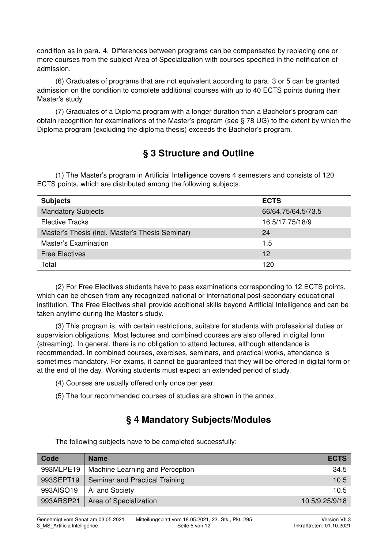condition as in para. 4. Differences between programs can be compensated by replacing one or more courses from the subject Area of Specialization with courses specified in the notification of admission.

(6) Graduates of programs that are not equivalent according to para. 3 or 5 can be granted admission on the condition to complete additional courses with up to 40 ECTS points during their Master's study.

(7) Graduates of a Diploma program with a longer duration than a Bachelor's program can obtain recognition for examinations of the Master's program (see § 78 UG) to the extent by which the Diploma program (excluding the diploma thesis) exceeds the Bachelor's program.

## § 3 Structure and Outline

(1) The Master's program in Artificial Intelligence covers 4 semesters and consists of 120 ECTS points, which are distributed among the following subjects:

| <b>Subjects</b>                                 | <b>ECTS</b>        |
|-------------------------------------------------|--------------------|
| <b>Mandatory Subjects</b>                       | 66/64.75/64.5/73.5 |
| <b>Elective Tracks</b>                          | 16.5/17.75/18/9    |
| Master's Thesis (incl. Master's Thesis Seminar) | -24                |
| <b>Master's Examination</b>                     | 1.5                |
| <b>Free Electives</b>                           | 12                 |
| Total                                           | 120                |

(2) For Free Electives students have to pass examinations corresponding to 12 ECTS points, which can be chosen from any recognized national or international post-secondary educational institution. The Free Electives shall provide additional skills beyond Artificial Intelligence and can be taken anytime during the Master's study.

(3) This program is, with certain restrictions, suitable for students with professional duties or supervision obligations. Most lectures and combined courses are also offered in digital form (streaming). In general, there is no obligation to attend lectures, although attendance is recommended. In combined courses, exercises, seminars, and practical works, attendance is sometimes mandatory. For exams, it cannot be guaranteed that they will be offered in digital form or at the end of the day. Working students must expect an extended period of study.

- (4) Courses are usually offered only once per year.
- (5) The four recommended courses of studies are shown in the annex.

## § 4 Mandatory Subjects/Modules

The following subjects have to be completed successfully:

| Code      | <b>Name</b>                     | <b>ECTS</b>    |
|-----------|---------------------------------|----------------|
| 993MLPE19 | Machine Learning and Perception | 34.5           |
| 993SEPT19 | Seminar and Practical Training  | 10.5           |
| 993AISO19 | AI and Society                  | 10.5           |
| 993ARSP21 | Area of Specialization          | 10.5/9.25/9/18 |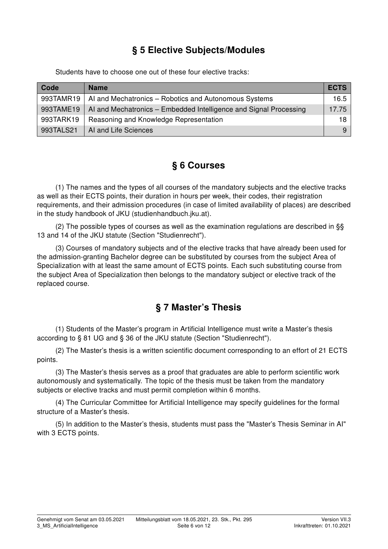### § 5 Elective Subjects/Modules

Students have to choose one out of these four elective tracks:

| Code      | <b>Name</b>                                                       | <b>ECTS</b> |
|-----------|-------------------------------------------------------------------|-------------|
| 993TAMR19 | AI and Mechatronics - Robotics and Autonomous Systems             | 16.5        |
| 993TAME19 | AI and Mechatronics – Embedded Intelligence and Signal Processing | 17.75       |
| 993TARK19 | Reasoning and Knowledge Representation                            | 18          |
| 993TALS21 | AI and Life Sciences                                              | 9           |

#### § 6 Courses

(1) The names and the types of all courses of the mandatory subjects and the elective tracks as well as their ECTS points, their duration in hours per week, their codes, their registration requirements, and their admission procedures (in case of limited availability of places) are described in the study handbook of JKU (studienhandbuch.jku.at).

(2) The possible types of courses as well as the examination regulations are described in §§ 13 and 14 of the JKU statute (Section "Studienrecht").

(3) Courses of mandatory subjects and of the elective tracks that have already been used for the admission-granting Bachelor degree can be substituted by courses from the subject Area of Specialization with at least the same amount of ECTS points. Each such substituting course from the subject Area of Specialization then belongs to the mandatory subject or elective track of the replaced course.

### § 7 Master's Thesis

(1) Students of the Master's program in Artificial Intelligence must write a Master's thesis according to § 81 UG and § 36 of the JKU statute (Section "Studienrecht").

(2) The Master's thesis is a written scientific document corresponding to an effort of 21 ECTS points.

(3) The Master's thesis serves as a proof that graduates are able to perform scientific work autonomously and systematically. The topic of the thesis must be taken from the mandatory subjects or elective tracks and must permit completion within 6 months.

(4) The Curricular Committee for Artificial Intelligence may specify guidelines for the formal structure of a Master's thesis.

(5) In addition to the Master's thesis, students must pass the "Master's Thesis Seminar in AI" with 3 ECTS points.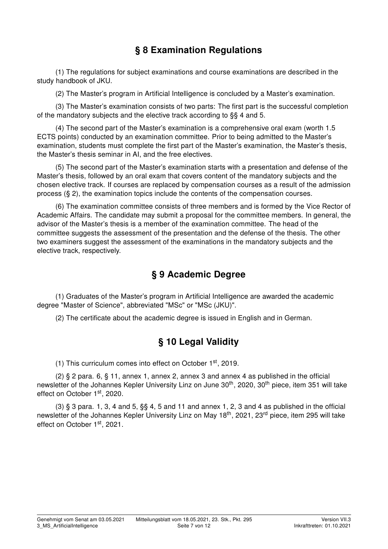## § 8 Examination Regulations

(1) The regulations for subject examinations and course examinations are described in the study handbook of JKU.

(2) The Master's program in Artificial Intelligence is concluded by a Master's examination.

(3) The Master's examination consists of two parts: The first part is the successful completion of the mandatory subjects and the elective track according to §§ 4 and 5.

(4) The second part of the Master's examination is a comprehensive oral exam (worth 1.5 ECTS points) conducted by an examination committee. Prior to being admitted to the Master's examination, students must complete the first part of the Master's examination, the Master's thesis, the Master's thesis seminar in AI, and the free electives.

(5) The second part of the Master's examination starts with a presentation and defense of the Master's thesis, followed by an oral exam that covers content of the mandatory subjects and the chosen elective track. If courses are replaced by compensation courses as a result of the admission process (§ 2), the examination topics include the contents of the compensation courses.

(6) The examination committee consists of three members and is formed by the Vice Rector of Academic Affairs. The candidate may submit a proposal for the committee members. In general, the advisor of the Master's thesis is a member of the examination committee. The head of the committee suggests the assessment of the presentation and the defense of the thesis. The other two examiners suggest the assessment of the examinations in the mandatory subjects and the elective track, respectively.

#### § 9 Academic Degree

(1) Graduates of the Master's program in Artificial Intelligence are awarded the academic degree "Master of Science", abbreviated "MSc" or "MSc (JKU)".

(2) The certificate about the academic degree is issued in English and in German.

### § 10 Legal Validity

(1) This curriculum comes into effect on October 1st, 2019.

(2) § 2 para. 6, § 11, annex 1, annex 2, annex 3 and annex 4 as published in the official newsletter of the Johannes Kepler University Linz on June 30<sup>th</sup>, 2020, 30<sup>th</sup> piece, item 351 will take effect on October 1<sup>st</sup>, 2020.

 $(3)$  § 3 para. 1, 3, 4 and 5, §§ 4, 5 and 11 and annex 1, 2, 3 and 4 as published in the official newsletter of the Johannes Kepler University Linz on May 18<sup>th</sup>, 2021, 23<sup>rd</sup> piece, item 295 will take effect on October 1<sup>st</sup>, 2021.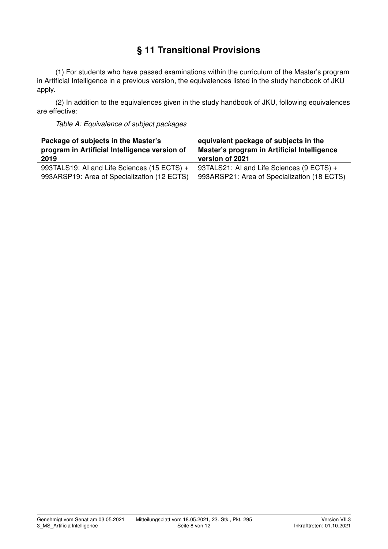# § 11 Transitional Provisions

(1) For students who have passed examinations within the curriculum of the Master's program in Artificial Intelligence in a previous version, the equivalences listed in the study handbook of JKU apply.

(2) In addition to the equivalences given in the study handbook of JKU, following equivalences are effective:

Table A: Equivalence of subject packages

| Package of subjects in the Master's           | equivalent package of subjects in the       |  |  |  |  |
|-----------------------------------------------|---------------------------------------------|--|--|--|--|
| program in Artificial Intelligence version of | Master's program in Artificial Intelligence |  |  |  |  |
| 2019                                          | version of 2021                             |  |  |  |  |
| 993TALS19: AI and Life Sciences (15 ECTS) +   | 93TALS21: AI and Life Sciences (9 ECTS) +   |  |  |  |  |
| 993ARSP19: Area of Specialization (12 ECTS)   | 993ARSP21: Area of Specialization (18 ECTS) |  |  |  |  |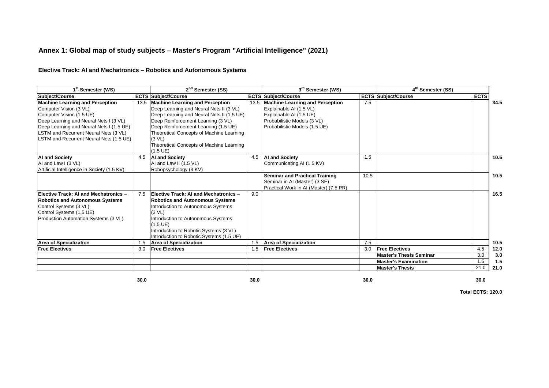#### **Annex 1: Global map of study subjects** - **Master's Program "Artificial Intelligence" (2021)**

#### **Elective Track: AI and Mechatronics** - **Robotics and Autonomous Systems**

| 1 <sup>st</sup> Semester (WS)                      |      | 2 <sup>nd</sup> Semester (SS)                                                        |      | 3 <sup>rd</sup> Semester (WS)                      |      | 4 <sup>th</sup> Semester (SS)                                 |             |            |
|----------------------------------------------------|------|--------------------------------------------------------------------------------------|------|----------------------------------------------------|------|---------------------------------------------------------------|-------------|------------|
| Subject/Course                                     |      | <b>ECTS Subject/Course</b>                                                           |      | <b>ECTS Subject/Course</b>                         |      | <b>ECTS Subject/Course</b>                                    | <b>ECTS</b> |            |
| <b>Machine Learning and Perception</b>             | 13.5 | <b>Machine Learning and Perception</b>                                               | 13.5 | <b>Machine Learning and Perception</b>             | 7.5  |                                                               |             | 34.5       |
| Computer Vision (3 VL)<br>Computer Vision (1.5 UE) |      | Deep Learning and Neural Nets II (3 VL)<br>Deep Learning and Neural Nets II (1.5 UE) |      | Explainable AI (1.5 VL)<br>Explainable AI (1.5 UE) |      |                                                               |             |            |
| Deep Learning and Neural Nets I (3 VL)             |      | Deep Reinforcement Learning (3 VL)                                                   |      | Probabilistic Models (3 VL)                        |      |                                                               |             |            |
| Deep Learning and Neural Nets I (1.5 UE)           |      | Deep Reinforcement Learning (1.5 UE)                                                 |      | Probabilistic Models (1.5 UE)                      |      |                                                               |             |            |
| LSTM and Recurrent Neural Nets (3 VL)              |      | Theoretical Concepts of Machine Learning                                             |      |                                                    |      |                                                               |             |            |
| LSTM and Recurrent Neural Nets (1.5 UE)            |      | (3 <b>VL</b> )                                                                       |      |                                                    |      |                                                               |             |            |
|                                                    |      | Theoretical Concepts of Machine Learning                                             |      |                                                    |      |                                                               |             |            |
|                                                    |      | $(1.5 \, \text{UE})$                                                                 |      |                                                    |      |                                                               |             |            |
| <b>AI and Society</b>                              | 4.5  | <b>AI and Society</b>                                                                | 4.5  | <b>AI and Society</b>                              | 1.5  |                                                               |             | 10.5       |
| AI and Law I (3 VL)                                |      | AI and Law II (1.5 VL)                                                               |      | Communicating AI (1.5 KV)                          |      |                                                               |             |            |
| Artificial Intelligence in Society (1.5 KV)        |      | Robopsychology (3 KV)                                                                |      |                                                    |      |                                                               |             |            |
|                                                    |      |                                                                                      |      | <b>Seminar and Practical Training</b>              | 10.5 |                                                               |             | 10.5       |
|                                                    |      |                                                                                      |      | Seminar in AI (Master) (3 SE)                      |      |                                                               |             |            |
|                                                    |      |                                                                                      |      | Practical Work in AI (Master) (7.5 PR)             |      |                                                               |             |            |
| Elective Track: AI and Mechatronics -              | 7.5  | Elective Track: AI and Mechatronics -                                                | 9.0  |                                                    |      |                                                               |             | 16.5       |
| <b>Robotics and Autonomous Systems</b>             |      | <b>Robotics and Autonomous Systems</b>                                               |      |                                                    |      |                                                               |             |            |
| Control Systems (3 VL)                             |      | Introduction to Autonomous Systems                                                   |      |                                                    |      |                                                               |             |            |
| Control Systems (1.5 UE)                           |      | (3 <b>VL</b> )                                                                       |      |                                                    |      |                                                               |             |            |
| Production Automation Systems (3 VL)               |      | Introduction to Autonomous Systems                                                   |      |                                                    |      |                                                               |             |            |
|                                                    |      | $(1.5 \, \text{UE})$                                                                 |      |                                                    |      |                                                               |             |            |
|                                                    |      | Introduction to Robotic Systems (3 VL)                                               |      |                                                    |      |                                                               |             |            |
|                                                    |      | Introduction to Robotic Systems (1.5 UE)                                             |      |                                                    |      |                                                               |             |            |
| <b>Area of Specialization</b>                      | 1.5  | <b>Area of Specialization</b>                                                        | 1.5  | <b>Area of Specialization</b>                      | 7.5  |                                                               |             | 10.5       |
| <b>Free Electives</b>                              | 3.0  | <b>Free Electives</b>                                                                | 1.5  | <b>Free Electives</b>                              | 3.0  | <b>Free Electives</b>                                         | 4.5         | 12.0       |
|                                                    |      |                                                                                      |      |                                                    |      | <b>Master's Thesis Seminar</b><br><b>Master's Examination</b> | 3.0<br>1.5  | 3.0<br>1.5 |
|                                                    |      |                                                                                      |      |                                                    |      | <b>Master's Thesis</b>                                        | 21.0        | 21.0       |
|                                                    |      |                                                                                      |      |                                                    |      |                                                               |             |            |

**30.0**

**0 30.0 30.0 30.0 30.0 30.0 30.0 30.0**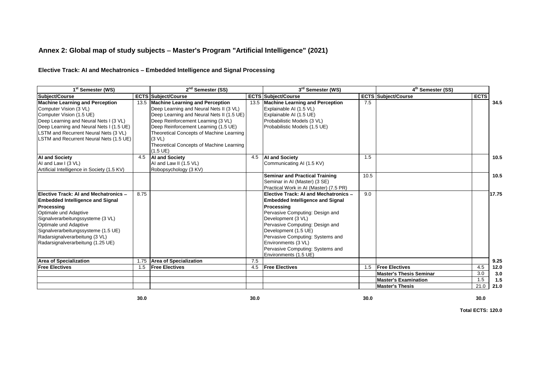#### **Annex 2: Global map of study subjects** - **Master's Program "Artificial Intelligence" (2021)**

#### **Elective Track: AI and Mechatronics** - **Embedded Intelligence and Signal Processing**

| 1 <sup>st</sup> Semester (WS)               |      | 2 <sup>nd</sup> Semester (SS)             |      | 3rd Semester (WS)                       |      | $4th$ Semester (SS)            |             |       |
|---------------------------------------------|------|-------------------------------------------|------|-----------------------------------------|------|--------------------------------|-------------|-------|
| Subject/Course                              |      | <b>ECTS Subject/Course</b>                |      | <b>ECTS Subject/Course</b>              |      | <b>ECTS Subject/Course</b>     | <b>ECTS</b> |       |
| <b>Machine Learning and Perception</b>      |      | 13.5 Machine Learning and Perception      | 13.5 | <b>Machine Learning and Perception</b>  | 7.5  |                                |             | 34.5  |
| Computer Vision (3 VL)                      |      | Deep Learning and Neural Nets II (3 VL)   |      | Explainable AI (1.5 VL)                 |      |                                |             |       |
| Computer Vision (1.5 UE)                    |      | Deep Learning and Neural Nets II (1.5 UE) |      | Explainable AI (1.5 UE)                 |      |                                |             |       |
| Deep Learning and Neural Nets I (3 VL)      |      | Deep Reinforcement Learning (3 VL)        |      | Probabilistic Models (3 VL)             |      |                                |             |       |
| Deep Learning and Neural Nets I (1.5 UE)    |      | Deep Reinforcement Learning (1.5 UE)      |      | Probabilistic Models (1.5 UE)           |      |                                |             |       |
| LSTM and Recurrent Neural Nets (3 VL)       |      | Theoretical Concepts of Machine Learning  |      |                                         |      |                                |             |       |
| LSTM and Recurrent Neural Nets (1.5 UE)     |      | (3 <b>VL</b> )                            |      |                                         |      |                                |             |       |
|                                             |      | Theoretical Concepts of Machine Learning  |      |                                         |      |                                |             |       |
|                                             |      | $(1.5 \, \text{UE})$                      |      |                                         |      |                                |             |       |
| <b>AI and Society</b>                       | 4.5  | <b>AI and Society</b>                     | 4.5  | <b>AI and Society</b>                   | 1.5  |                                |             | 10.5  |
| AI and Law I (3 VL)                         |      | AI and Law II (1.5 VL)                    |      | Communicating AI (1.5 KV)               |      |                                |             |       |
| Artificial Intelligence in Society (1.5 KV) |      | Robopsychology (3 KV)                     |      |                                         |      |                                |             |       |
|                                             |      |                                           |      | <b>Seminar and Practical Training</b>   | 10.5 |                                |             | 10.5  |
|                                             |      |                                           |      | Seminar in AI (Master) (3 SE)           |      |                                |             |       |
|                                             |      |                                           |      | Practical Work in AI (Master) (7.5 PR)  |      |                                |             |       |
| Elective Track: AI and Mechatronics -       | 8.75 |                                           |      | Elective Track: AI and Mechatronics -   | 9.0  |                                |             | 17.75 |
| <b>Embedded Intelligence and Signal</b>     |      |                                           |      | <b>Embedded Intelligence and Signal</b> |      |                                |             |       |
| Processing                                  |      |                                           |      | Processing                              |      |                                |             |       |
| Optimale und Adaptive                       |      |                                           |      | Pervasive Computing: Design and         |      |                                |             |       |
| Signalverarbeitungssysteme (3 VL)           |      |                                           |      | Development (3 VL)                      |      |                                |             |       |
| Optimale und Adaptive                       |      |                                           |      | Pervasive Computing: Design and         |      |                                |             |       |
| Signalverarbeitungssysteme (1.5 UE)         |      |                                           |      | Development (1.5 UE)                    |      |                                |             |       |
| Radarsignalverarbeitung (3 VL)              |      |                                           |      | Pervasive Computing: Systems and        |      |                                |             |       |
| Radarsignalverarbeitung (1.25 UE)           |      |                                           |      | Environments (3 VL)                     |      |                                |             |       |
|                                             |      |                                           |      | Pervasive Computing: Systems and        |      |                                |             |       |
|                                             |      |                                           |      | Environments (1.5 UE)                   |      |                                |             |       |
| <b>Area of Specialization</b>               | 1.75 | <b>Area of Specialization</b>             | 7.5  |                                         |      |                                |             | 9.25  |
| <b>Free Electives</b>                       | 1.5  | <b>Free Electives</b>                     | 4.5  | <b>Free Electives</b>                   | 1.5  | <b>Free Electives</b>          | 4.5         | 12.0  |
|                                             |      |                                           |      |                                         |      | <b>Master's Thesis Seminar</b> | 3.0         | 3.0   |
|                                             |      |                                           |      |                                         |      | <b>Master's Examination</b>    | 1.5         | 1.5   |
|                                             |      |                                           |      |                                         |      | <b>Master's Thesis</b>         | 21.0        | 21.0  |

**30.0**

**0 30.0 30.0 30.0 30.0 30.0 30.0 30.0**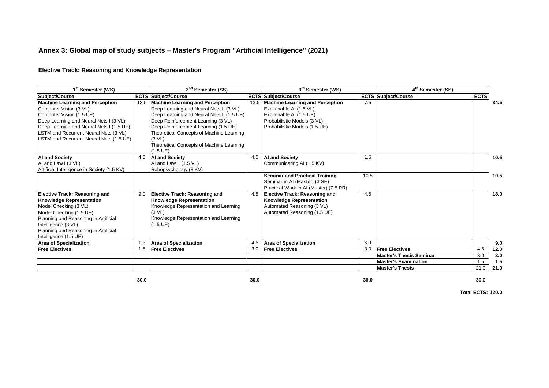#### **Annex 3: Global map of study subjects** - **Master's Program "Artificial Intelligence" (2021)**

#### **Elective Track: Reasoning and Knowledge Representation**

| 1 <sup>st</sup> Semester (WS)                                                                                                                                                                                                                                          |      | 2 <sup>nd</sup> Semester (SS)                                                                                                                                                                                                                                                                                                                  |      |                                                                                                                                                              | 3rd Semester (WS) |                                                 |             |      |
|------------------------------------------------------------------------------------------------------------------------------------------------------------------------------------------------------------------------------------------------------------------------|------|------------------------------------------------------------------------------------------------------------------------------------------------------------------------------------------------------------------------------------------------------------------------------------------------------------------------------------------------|------|--------------------------------------------------------------------------------------------------------------------------------------------------------------|-------------------|-------------------------------------------------|-------------|------|
| Subject/Course                                                                                                                                                                                                                                                         |      | <b>ECTS Subject/Course</b>                                                                                                                                                                                                                                                                                                                     |      | <b>ECTS Subject/Course</b>                                                                                                                                   | <b>ECTS</b>       | 4 <sup>th</sup> Semester (SS)<br>Subiect/Course | <b>ECTS</b> |      |
| <b>Machine Learning and Perception</b><br>Computer Vision (3 VL)<br>Computer Vision (1.5 UE)<br>Deep Learning and Neural Nets I (3 VL)<br>Deep Learning and Neural Nets I (1.5 UE)<br>LSTM and Recurrent Neural Nets (3 VL)<br>LSTM and Recurrent Neural Nets (1.5 UE) | 13.5 | <b>Machine Learning and Perception</b><br>Deep Learning and Neural Nets II (3 VL)<br>Deep Learning and Neural Nets II (1.5 UE)<br>Deep Reinforcement Learning (3 VL)<br>Deep Reinforcement Learning (1.5 UE)<br>Theoretical Concepts of Machine Learning<br>(3 <b>VL</b> )<br>Theoretical Concepts of Machine Learning<br>$(1.5 \, \text{UE})$ | 13.5 | <b>Machine Learning and Perception</b><br>Explainable AI (1.5 VL)<br>Explainable AI (1.5 UE)<br>Probabilistic Models (3 VL)<br>Probabilistic Models (1.5 UE) | 7.5               |                                                 |             | 34.5 |
| <b>AI and Society</b><br>AI and Law I (3 VL)<br>Artificial Intelligence in Society (1.5 KV)                                                                                                                                                                            | 4.5  | <b>AI and Society</b><br>AI and Law II (1.5 VL)<br>Robopsychology (3 KV)                                                                                                                                                                                                                                                                       | 4.5  | <b>AI and Society</b><br>Communicating AI (1.5 KV)                                                                                                           | 1.5               |                                                 |             | 10.5 |
|                                                                                                                                                                                                                                                                        |      |                                                                                                                                                                                                                                                                                                                                                |      | <b>Seminar and Practical Training</b><br>Seminar in AI (Master) (3 SE)<br>Practical Work in AI (Master) (7.5 PR)                                             | 10.5              |                                                 |             | 10.5 |
| <b>Elective Track: Reasoning and</b><br><b>Knowledge Representation</b><br>Model Checking (3 VL)<br>Model Checking (1.5 UE)<br>Planning and Reasoning in Artificial<br>Intelligence (3 VL)<br>Planning and Reasoning in Artificial<br>Intelligence (1.5 UE)            | 9.0  | <b>Elective Track: Reasoning and</b><br><b>Knowledge Representation</b><br>Knowledge Representation and Learning<br>(3 <b>VL</b> )<br>Knowledge Representation and Learning<br>$(1.5 \, \text{UE})$                                                                                                                                            | 4.5  | <b>Elective Track: Reasoning and</b><br><b>Knowledge Representation</b><br>Automated Reasoning (3 VL)<br>Automated Reasoning (1.5 UE)                        | 4.5               |                                                 |             | 18.0 |
| <b>Area of Specialization</b>                                                                                                                                                                                                                                          | 1.5  | <b>Area of Specialization</b>                                                                                                                                                                                                                                                                                                                  | 4.5  | <b>Area of Specialization</b>                                                                                                                                | 3.0               |                                                 |             | 9.0  |
| <b>Free Electives</b>                                                                                                                                                                                                                                                  | 1.5  | <b>Free Electives</b>                                                                                                                                                                                                                                                                                                                          | 3.0  | <b>Free Electives</b>                                                                                                                                        | 3.0               | <b>Free Electives</b>                           | 4.5         | 12.0 |
|                                                                                                                                                                                                                                                                        |      |                                                                                                                                                                                                                                                                                                                                                |      |                                                                                                                                                              |                   | <b>Master's Thesis Seminar</b>                  | 3.0         | 3.0  |
|                                                                                                                                                                                                                                                                        |      |                                                                                                                                                                                                                                                                                                                                                |      |                                                                                                                                                              |                   | <b>Master's Examination</b>                     | 1.5         | 1.5  |
|                                                                                                                                                                                                                                                                        |      |                                                                                                                                                                                                                                                                                                                                                |      |                                                                                                                                                              |                   | <b>Master's Thesis</b>                          | 21.0        | 21.0 |

**30.0**

**0 30.0 30.0 30.0 30.0 30.0 30.0 30.0**